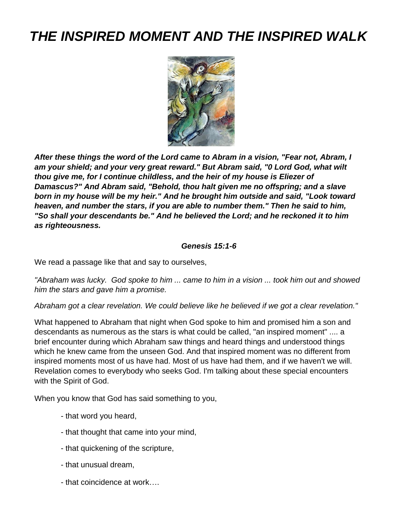# *THE INSPIRED MOMENT AND THE INSPIRED WALK*



*After these things the word of the Lord came to Abram in a vision, "Fear not, Abram, I am your shield; and your very great reward." But Abram said, "0 Lord God, what wilt thou give me, for I continue childless, and the heir of my house is Eliezer of Damascus?" And Abram said, "Behold, thou halt given me no offspring; and a slave born in my house will be my heir." And he brought him outside and said, "Look toward heaven, and number the stars, if you are able to number them." Then he said to him, "So shall your descendants be." And he believed the Lord; and he reckoned it to him as righteousness.*

#### *Genesis 15:1-6*

We read a passage like that and say to ourselves,

*"Abraham was lucky. God spoke to him ... came to him in a vision ... took him out and showed him the stars and gave him a promise.*

*Abraham got a clear revelation. We could believe like he believed if we got a clear revelation."*

What happened to Abraham that night when God spoke to him and promised him a son and descendants as numerous as the stars is what could be called, "an inspired moment" .... a brief encounter during which Abraham saw things and heard things and understood things which he knew came from the unseen God. And that inspired moment was no different from inspired moments most of us have had. Most of us have had them, and if we haven't we will. Revelation comes to everybody who seeks God. I'm talking about these special encounters with the Spirit of God.

When you know that God has said something to you,

- that word you heard,
- that thought that came into your mind,
- that quickening of the scripture,
- that unusual dream,
- that coincidence at work….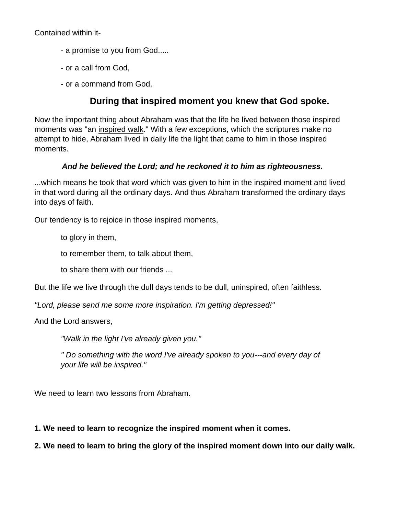Contained within it-

- a promise to you from God.....
- or a call from God,
- or a command from God.

### **During that inspired moment you knew that God spoke.**

Now the important thing about Abraham was that the life he lived between those inspired moments was "an inspired walk." With a few exceptions, which the scriptures make no attempt to hide, Abraham lived in daily life the light that came to him in those inspired moments.

### *And he believed the Lord; and he reckoned it to him as righteousness.*

...which means he took that word which was given to him in the inspired moment and lived in that word during all the ordinary days. And thus Abraham transformed the ordinary days into days of faith.

Our tendency is to rejoice in those inspired moments,

to glory in them,

to remember them, to talk about them,

to share them with our friends ...

But the life we live through the dull days tends to be dull, uninspired, often faithless.

*"Lord, please send me some more inspiration. I'm getting depressed!"*

And the Lord answers,

*"Walk in the light I've already given you."*

*" Do something with the word I've already spoken to you---and every day of your life will be inspired."*

We need to learn two lessons from Abraham.

**1. We need to learn to recognize the inspired moment when it comes.**

**2. We need to learn to bring the glory of the inspired moment down into our daily walk.**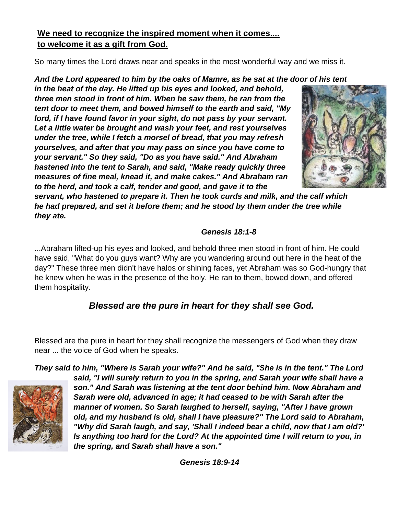### **We need to recognize the inspired moment when it comes.... to welcome it as a gift from God.**

So many times the Lord draws near and speaks in the most wonderful way and we miss it.

### *And the Lord appeared to him by the oaks of Mamre, as he sat at the door of his tent*

*in the heat of the day. He lifted up his eyes and looked, and behold, three men stood in front of him. When he saw them, he ran from the tent door to meet them, and bowed himself to the earth and said, "My lord, if I have found favor in your sight, do not pass by your servant. Let a little water be brought and wash your feet, and rest yourselves under the tree, while I fetch a morsel of bread, that you may refresh yourselves, and after that you may pass on since you have come to your servant." So they said, "Do as you have said." And Abraham hastened into the tent to Sarah, and said, "Make ready quickly three measures of fine meal, knead it, and make cakes." And Abraham ran to the herd, and took a calf, tender and good, and gave it to the* 



*servant, who hastened to prepare it. Then he took curds and milk, and the calf which he had prepared, and set it before them; and he stood by them under the tree while they ate.* 

### *Genesis 18:1-8*

...Abraham lifted-up his eyes and looked, and behold three men stood in front of him. He could have said, "What do you guys want? Why are you wandering around out here in the heat of the day?" These three men didn't have halos or shining faces, yet Abraham was so God-hungry that he knew when he was in the presence of the holy. He ran to them, bowed down, and offered them hospitality.

# *Blessed are the pure in heart for they shall see God.*

Blessed are the pure in heart for they shall recognize the messengers of God when they draw near ... the voice of God when he speaks.

*They said to him, "Where is Sarah your wife?" And he said, "She is in the tent." The Lord* 



*said, "I will surely return to you in the spring, and Sarah your wife shall have a son." And Sarah was listening at the tent door behind him. Now Abraham and Sarah were old, advanced in age; it had ceased to be with Sarah after the manner of women. So Sarah laughed to herself, saying, "After I have grown old, and my husband is old, shall I have pleasure?" The Lord said to Abraham, "Why did Sarah laugh, and say, 'Shall I indeed bear a child, now that I am old?' Is anything too hard for the Lord? At the appointed time I will return to you, in the spring, and Sarah shall have a son."*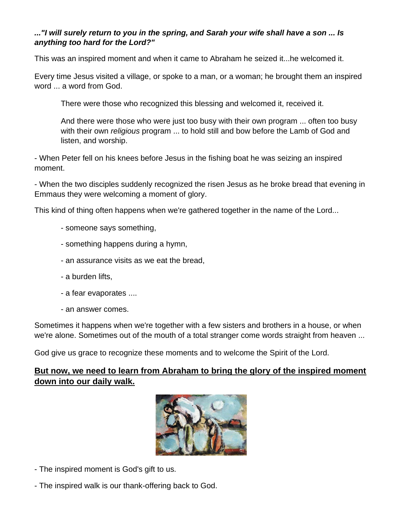### *..."I will surely return to you in the spring, and Sarah your wife shall have a son ... Is anything too hard for the Lord?"*

This was an inspired moment and when it came to Abraham he seized it...he welcomed it.

Every time Jesus visited a village, or spoke to a man, or a woman; he brought them an inspired word ... a word from God.

There were those who recognized this blessing and welcomed it, received it.

And there were those who were just too busy with their own program ... often too busy with their own *religious* program ... to hold still and bow before the Lamb of God and listen, and worship.

- When Peter fell on his knees before Jesus in the fishing boat he was seizing an inspired moment.

- When the two disciples suddenly recognized the risen Jesus as he broke bread that evening in Emmaus they were welcoming a moment of glory.

This kind of thing often happens when we're gathered together in the name of the Lord...

- someone says something,
- something happens during a hymn,
- an assurance visits as we eat the bread,
- a burden lifts,
- a fear evaporates ....
- an answer comes.

Sometimes it happens when we're together with a few sisters and brothers in a house, or when we're alone. Sometimes out of the mouth of a total stranger come words straight from heaven ...

God give us grace to recognize these moments and to welcome the Spirit of the Lord.

### **But now, we need to learn from Abraham to bring the glory of the inspired moment down into our daily walk.**



- The inspired moment is God's gift to us.
- The inspired walk is our thank-offering back to God.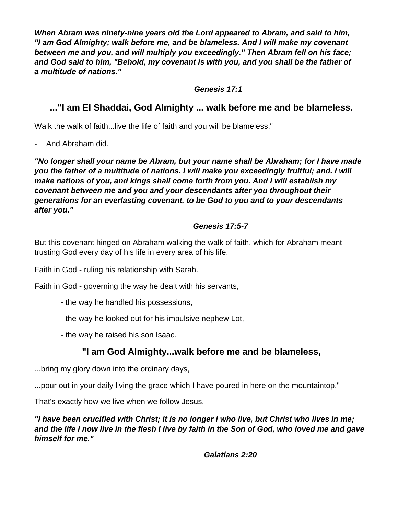*When Abram was ninety-nine years old the Lord appeared to Abram, and said to him, "I am God Almighty; walk before me, and be blameless. And I will make my covenant between me and you, and will multiply you exceedingly." Then Abram fell on his face; and God said to him, "Behold, my covenant is with you, and you shall be the father of a multitude of nations."*

*Genesis 17:1*

# **..."I am El Shaddai, God Almighty ... walk before me and be blameless.**

Walk the walk of faith...live the life of faith and you will be blameless."

- And Abraham did.

*"No longer shall your name be Abram, but your name shall be Abraham; for I have made you the father of a multitude of nations. I will make you exceedingly fruitful; and. I will make nations of you, and kings shall come forth from you. And I will establish my covenant between me and you and your descendants after you throughout their generations for an everlasting covenant, to be God to you and to your descendants after you."*

### *Genesis 17:5-7*

But this covenant hinged on Abraham walking the walk of faith, which for Abraham meant trusting God every day of his life in every area of his life.

Faith in God - ruling his relationship with Sarah.

Faith in God - governing the way he dealt with his servants,

- the way he handled his possessions,
- the way he looked out for his impulsive nephew Lot,
- the way he raised his son Isaac.

# **"I am God Almighty...walk before me and be blameless,**

...bring my glory down into the ordinary days,

...pour out in your daily living the grace which I have poured in here on the mountaintop."

That's exactly how we live when we follow Jesus.

*"I have been crucified with Christ; it is no longer I who live, but Christ who lives in me; and the life I now live in the flesh I live by faith in the Son of God, who loved me and gave himself for me."* 

*Galatians 2:20*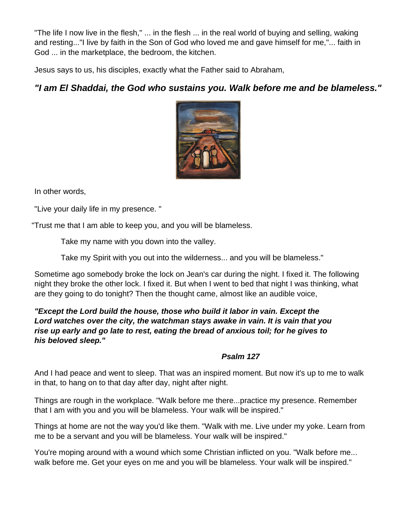"The life I now live in the flesh," ... in the flesh ... in the real world of buying and selling, waking and resting..."I live by faith in the Son of God who loved me and gave himself for me,"... faith in God ... in the marketplace, the bedroom, the kitchen.

Jesus says to us, his disciples, exactly what the Father said to Abraham,

# *"I am El Shaddai, the God who sustains you. Walk before me and be blameless."*



In other words,

"Live your daily life in my presence. "

"Trust me that I am able to keep you, and you will be blameless.

Take my name with you down into the valley.

Take my Spirit with you out into the wilderness... and you will be blameless."

Sometime ago somebody broke the lock on Jean's car during the night. I fixed it. The following night they broke the other lock. I fixed it. But when I went to bed that night I was thinking, what are they going to do tonight? Then the thought came, almost like an audible voice,

*"Except the Lord build the house, those who build it labor in vain. Except the Lord watches over the city, the watchman stays awake in vain. It is vain that you rise up early and go late to rest, eating the bread of anxious toil; for he gives to his beloved sleep."* 

### *Psalm 127*

And I had peace and went to sleep. That was an inspired moment. But now it's up to me to walk in that, to hang on to that day after day, night after night.

Things are rough in the workplace. "Walk before me there...practice my presence. Remember that I am with you and you will be blameless. Your walk will be inspired."

Things at home are not the way you'd like them. "Walk with me. Live under my yoke. Learn from me to be a servant and you will be blameless. Your walk will be inspired."

You're moping around with a wound which some Christian inflicted on you. "Walk before me... walk before me. Get your eyes on me and you will be blameless. Your walk will be inspired."